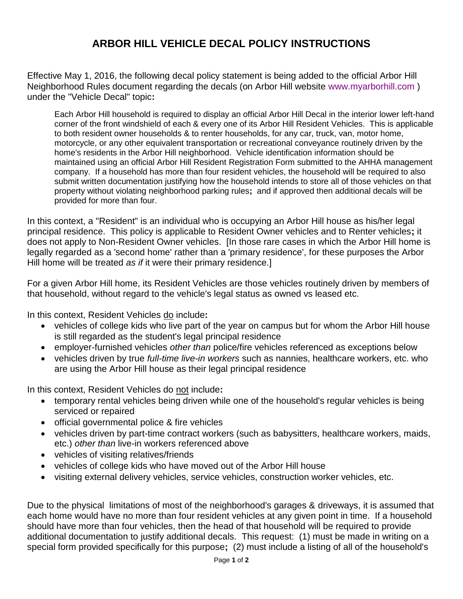## **ARBOR HILL VEHICLE DECAL POLICY INSTRUCTIONS**

Effective May 1, 2016, the following decal policy statement is being added to the official Arbor Hill Neighborhood Rules document regarding the decals (on Arbor Hill website [www.myarborhill.com](http://www.myarborhill.com/) ) under the "Vehicle Decal" topic**:**

Each Arbor Hill household is required to display an official Arbor Hill Decal in the interior lower left-hand corner of the front windshield of each & every one of its Arbor Hill Resident Vehicles. This is applicable to both resident owner households & to renter households, for any car, truck, van, motor home, motorcycle, or any other equivalent transportation or recreational conveyance routinely driven by the home's residents in the Arbor Hill neighborhood. Vehicle identification information should be maintained using an official Arbor Hill Resident Registration Form submitted to the AHHA management company. If a household has more than four resident vehicles, the household will be required to also submit written documentation justifying how the household intends to store all of those vehicles on that property without violating neighborhood parking rules**;** and if approved then additional decals will be provided for more than four.

In this context, a "Resident" is an individual who is occupying an Arbor Hill house as his/her legal principal residence. This policy is applicable to Resident Owner vehicles and to Renter vehicles**;** it does not apply to Non-Resident Owner vehicles. [In those rare cases in which the Arbor Hill home is legally regarded as a 'second home' rather than a 'primary residence', for these purposes the Arbor Hill home will be treated *as if* it were their primary residence.]

For a given Arbor Hill home, its Resident Vehicles are those vehicles routinely driven by members of that household, without regard to the vehicle's legal status as owned vs leased etc.

In this context, Resident Vehicles do include**:**

- vehicles of college kids who live part of the year on campus but for whom the Arbor Hill house is still regarded as the student's legal principal residence
- employer-furnished vehicles *other than* police/fire vehicles referenced as exceptions below
- vehicles driven by true *full-time live-in workers* such as nannies, healthcare workers, etc. who are using the Arbor Hill house as their legal principal residence

In this context, Resident Vehicles do not include**:**

- temporary rental vehicles being driven while one of the household's regular vehicles is being serviced or repaired
- official governmental police & fire vehicles
- vehicles driven by part-time contract workers (such as babysitters, healthcare workers, maids, etc.) *other than* live-in workers referenced above
- vehicles of visiting relatives/friends
- vehicles of college kids who have moved out of the Arbor Hill house
- visiting external delivery vehicles, service vehicles, construction worker vehicles, etc.

Due to the physical limitations of most of the neighborhood's garages & driveways, it is assumed that each home would have no more than four resident vehicles at any given point in time. If a household should have more than four vehicles, then the head of that household will be required to provide additional documentation to justify additional decals. This request: (1) must be made in writing on a special form provided specifically for this purpose**;** (2) must include a listing of all of the household's